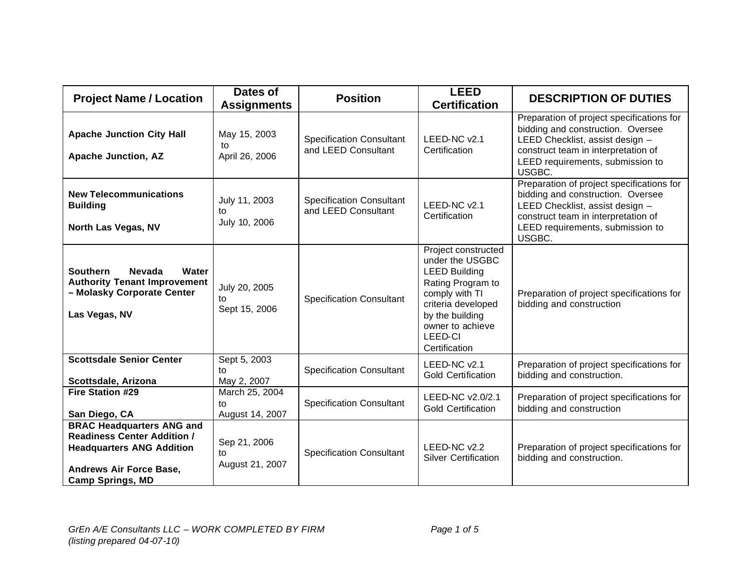| <b>Project Name / Location</b>                                                                                                                                   | Dates of<br><b>Assignments</b>          | <b>Position</b>                                        | <b>LEED</b><br><b>Certification</b>                                                                                                                                                            | <b>DESCRIPTION OF DUTIES</b>                                                                                                                                                                           |
|------------------------------------------------------------------------------------------------------------------------------------------------------------------|-----------------------------------------|--------------------------------------------------------|------------------------------------------------------------------------------------------------------------------------------------------------------------------------------------------------|--------------------------------------------------------------------------------------------------------------------------------------------------------------------------------------------------------|
| <b>Apache Junction City Hall</b><br><b>Apache Junction, AZ</b>                                                                                                   | May 15, 2003<br>to<br>April 26, 2006    | <b>Specification Consultant</b><br>and LEED Consultant | LEED-NC v2.1<br>Certification                                                                                                                                                                  | Preparation of project specifications for<br>bidding and construction. Oversee<br>LEED Checklist, assist design -<br>construct team in interpretation of<br>LEED requirements, submission to<br>USGBC. |
| <b>New Telecommunications</b><br><b>Building</b><br>North Las Vegas, NV                                                                                          | July 11, 2003<br>to<br>July 10, 2006    | <b>Specification Consultant</b><br>and LEED Consultant | LEED-NC v2.1<br>Certification                                                                                                                                                                  | Preparation of project specifications for<br>bidding and construction. Oversee<br>LEED Checklist, assist design -<br>construct team in interpretation of<br>LEED requirements, submission to<br>USGBC. |
| <b>Southern</b><br><b>Nevada</b><br>Water<br><b>Authority Tenant Improvement</b><br>- Molasky Corporate Center<br>Las Vegas, NV                                  | July 20, 2005<br>to.<br>Sept 15, 2006   | <b>Specification Consultant</b>                        | Project constructed<br>under the USGBC<br><b>LEED Building</b><br>Rating Program to<br>comply with TI<br>criteria developed<br>by the building<br>owner to achieve<br>LEED-CI<br>Certification | Preparation of project specifications for<br>bidding and construction                                                                                                                                  |
| <b>Scottsdale Senior Center</b><br>Scottsdale, Arizona                                                                                                           | Sept 5, 2003<br>to<br>May 2, 2007       | <b>Specification Consultant</b>                        | LEED-NC v2.1<br><b>Gold Certification</b>                                                                                                                                                      | Preparation of project specifications for<br>bidding and construction.                                                                                                                                 |
| <b>Fire Station #29</b><br>San Diego, CA                                                                                                                         | March 25, 2004<br>to<br>August 14, 2007 | <b>Specification Consultant</b>                        | LEED-NC v2.0/2.1<br><b>Gold Certification</b>                                                                                                                                                  | Preparation of project specifications for<br>bidding and construction                                                                                                                                  |
| <b>BRAC Headquarters ANG and</b><br><b>Readiness Center Addition /</b><br><b>Headquarters ANG Addition</b><br>Andrews Air Force Base,<br><b>Camp Springs, MD</b> | Sep 21, 2006<br>to<br>August 21, 2007   | <b>Specification Consultant</b>                        | LEED-NC v2.2<br><b>Silver Certification</b>                                                                                                                                                    | Preparation of project specifications for<br>bidding and construction.                                                                                                                                 |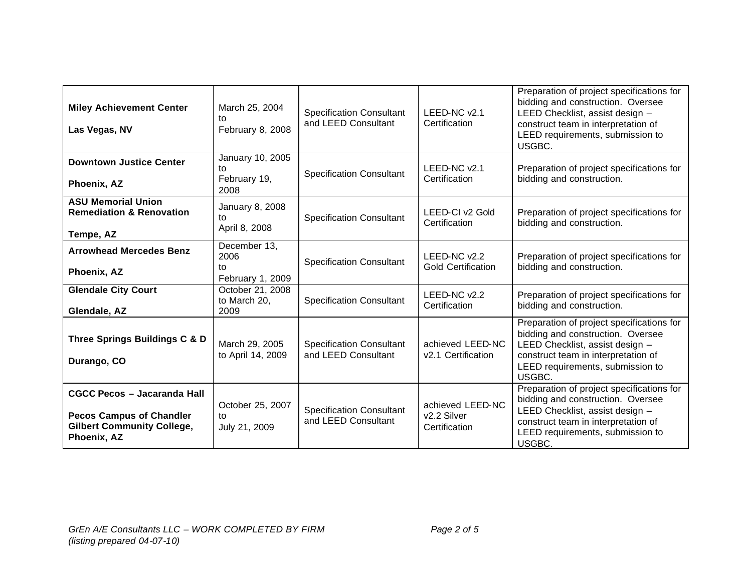| <b>Miley Achievement Center</b><br>Las Vegas, NV                                                                          | March 25, 2004<br>to<br>February 8, 2008       | <b>Specification Consultant</b><br>and LEED Consultant | LEED-NC v2.1<br>Certification                    | Preparation of project specifications for<br>bidding and construction. Oversee<br>LEED Checklist, assist design -<br>construct team in interpretation of<br>LEED requirements, submission to<br>USGBC. |
|---------------------------------------------------------------------------------------------------------------------------|------------------------------------------------|--------------------------------------------------------|--------------------------------------------------|--------------------------------------------------------------------------------------------------------------------------------------------------------------------------------------------------------|
| <b>Downtown Justice Center</b><br>Phoenix, AZ                                                                             | January 10, 2005<br>tο<br>February 19,<br>2008 | <b>Specification Consultant</b>                        | LEED-NC v2.1<br>Certification                    | Preparation of project specifications for<br>bidding and construction.                                                                                                                                 |
| <b>ASU Memorial Union</b><br><b>Remediation &amp; Renovation</b><br>Tempe, AZ                                             | January 8, 2008<br>tο<br>April 8, 2008         | <b>Specification Consultant</b>                        | LEED-CI v2 Gold<br>Certification                 | Preparation of project specifications for<br>bidding and construction.                                                                                                                                 |
| <b>Arrowhead Mercedes Benz</b><br>Phoenix, AZ                                                                             | December 13,<br>2006<br>to<br>February 1, 2009 | <b>Specification Consultant</b>                        | LEED-NC v2.2<br><b>Gold Certification</b>        | Preparation of project specifications for<br>bidding and construction.                                                                                                                                 |
| <b>Glendale City Court</b><br>Glendale, AZ                                                                                | October 21, 2008<br>to March 20,<br>2009       | <b>Specification Consultant</b>                        | LEED-NC v2.2<br>Certification                    | Preparation of project specifications for<br>bidding and construction.                                                                                                                                 |
| Three Springs Buildings C & D<br>Durango, CO                                                                              | March 29, 2005<br>to April 14, 2009            | <b>Specification Consultant</b><br>and LEED Consultant | achieved LEED-NC<br>v2.1 Certification           | Preparation of project specifications for<br>bidding and construction. Oversee<br>LEED Checklist, assist design -<br>construct team in interpretation of<br>LEED requirements, submission to<br>USGBC. |
| <b>CGCC Pecos - Jacaranda Hall</b><br><b>Pecos Campus of Chandler</b><br><b>Gilbert Community College,</b><br>Phoenix, AZ | October 25, 2007<br>to<br>July 21, 2009        | <b>Specification Consultant</b><br>and LEED Consultant | achieved LEED-NC<br>v2.2 Silver<br>Certification | Preparation of project specifications for<br>bidding and construction. Oversee<br>LEED Checklist, assist design -<br>construct team in interpretation of<br>LEED requirements, submission to<br>USGBC. |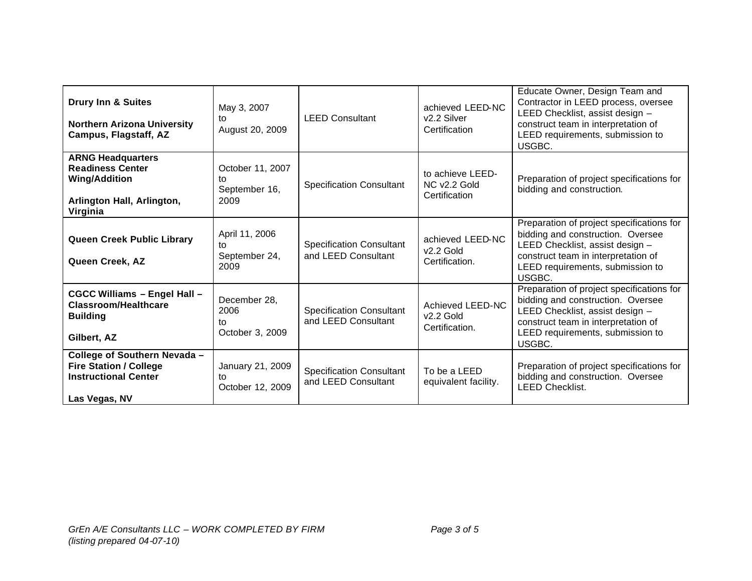| <b>Drury Inn &amp; Suites</b><br><b>Northern Arizona University</b><br>Campus, Flagstaff, AZ                          | May 3, 2007<br>to<br>August 20, 2009            | <b>LEED Consultant</b>                                 | achieved LEED-NC<br>v2.2 Silver<br>Certification  | Educate Owner, Design Team and<br>Contractor in LEED process, oversee<br>LEED Checklist, assist design -<br>construct team in interpretation of<br>LEED requirements, submission to<br>USGBC.          |
|-----------------------------------------------------------------------------------------------------------------------|-------------------------------------------------|--------------------------------------------------------|---------------------------------------------------|--------------------------------------------------------------------------------------------------------------------------------------------------------------------------------------------------------|
| <b>ARNG Headquarters</b><br><b>Readiness Center</b><br><b>Wing/Addition</b><br>Arlington Hall, Arlington,<br>Virginia | October 11, 2007<br>to<br>September 16,<br>2009 | <b>Specification Consultant</b>                        | to achieve LEED-<br>NC v2.2 Gold<br>Certification | Preparation of project specifications for<br>bidding and construction.                                                                                                                                 |
| <b>Queen Creek Public Library</b><br>Queen Creek, AZ                                                                  | April 11, 2006<br>to<br>September 24,<br>2009   | <b>Specification Consultant</b><br>and LEED Consultant | achieved LEED-NC<br>$v2.2$ Gold<br>Certification. | Preparation of project specifications for<br>bidding and construction. Oversee<br>LEED Checklist, assist design -<br>construct team in interpretation of<br>LEED requirements, submission to<br>USGBC. |
| <b>CGCC Williams - Engel Hall -</b><br><b>Classroom/Healthcare</b><br><b>Building</b><br>Gilbert, AZ                  | December 28,<br>2006<br>to<br>October 3, 2009   | <b>Specification Consultant</b><br>and LEED Consultant | Achieved LEED-NC<br>$v2.2$ Gold<br>Certification. | Preparation of project specifications for<br>bidding and construction. Oversee<br>LEED Checklist, assist design -<br>construct team in interpretation of<br>LEED requirements, submission to<br>USGBC. |
| College of Southern Nevada -<br><b>Fire Station / College</b><br><b>Instructional Center</b><br>Las Vegas, NV         | January 21, 2009<br>to<br>October 12, 2009      | <b>Specification Consultant</b><br>and LEED Consultant | To be a LEED<br>equivalent facility.              | Preparation of project specifications for<br>bidding and construction. Oversee<br><b>LEED Checklist.</b>                                                                                               |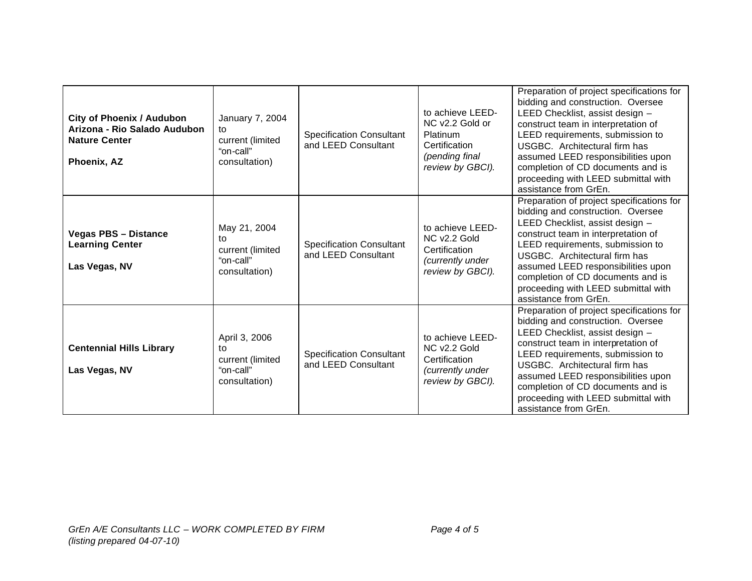| <b>City of Phoenix / Audubon</b><br>Arizona - Rio Salado Audubon<br><b>Nature Center</b><br>Phoenix, AZ | January 7, 2004<br>to<br>current (limited<br>"on-call"<br>consultation) | <b>Specification Consultant</b><br>and LEED Consultant | to achieve LEED-<br>NC v2.2 Gold or<br>Platinum<br>Certification<br>(pending final<br>review by GBCI). | Preparation of project specifications for<br>bidding and construction. Oversee<br>LEED Checklist, assist design -<br>construct team in interpretation of<br>LEED requirements, submission to<br>USGBC. Architectural firm has<br>assumed LEED responsibilities upon<br>completion of CD documents and is<br>proceeding with LEED submittal with<br>assistance from GrEn. |
|---------------------------------------------------------------------------------------------------------|-------------------------------------------------------------------------|--------------------------------------------------------|--------------------------------------------------------------------------------------------------------|--------------------------------------------------------------------------------------------------------------------------------------------------------------------------------------------------------------------------------------------------------------------------------------------------------------------------------------------------------------------------|
| <b>Vegas PBS - Distance</b><br><b>Learning Center</b><br>Las Vegas, NV                                  | May 21, 2004<br>tο<br>current (limited<br>"on-call"<br>consultation)    | <b>Specification Consultant</b><br>and LEED Consultant | to achieve LEED-<br>NC v2.2 Gold<br>Certification<br>(currently under<br>review by GBCI).              | Preparation of project specifications for<br>bidding and construction. Oversee<br>LEED Checklist, assist design -<br>construct team in interpretation of<br>LEED requirements, submission to<br>USGBC. Architectural firm has<br>assumed LEED responsibilities upon<br>completion of CD documents and is<br>proceeding with LEED submittal with<br>assistance from GrEn. |
| <b>Centennial Hills Library</b><br>Las Vegas, NV                                                        | April 3, 2006<br>to<br>current (limited<br>"on-call"<br>consultation)   | <b>Specification Consultant</b><br>and LEED Consultant | to achieve LEED-<br>NC v2.2 Gold<br>Certification<br>(currently under<br>review by GBCI).              | Preparation of project specifications for<br>bidding and construction. Oversee<br>LEED Checklist, assist design -<br>construct team in interpretation of<br>LEED requirements, submission to<br>USGBC. Architectural firm has<br>assumed LEED responsibilities upon<br>completion of CD documents and is<br>proceeding with LEED submittal with<br>assistance from GrEn. |